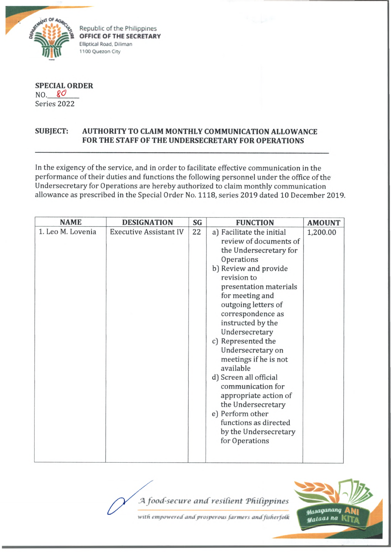

Republic of the Philippines **OFFICE OF THE SECRETARY Elliptical Road. Diliman 1100 Quezon City**

**SPECIAL ORDER** NO. 80 Series 2022

## **SUBJECT: AUTHORITY TO CLAIM MONTHLY COMMUNICATION ALLOWANCE FOR THE STAFF OF THE UNDERSECRETARY FOR OPERATIONS**

In the exigency of the service, and in order to facilitate effective communication in the performance of their duties and functions the following personnel under the office of the Undersecretary for Operations are hereby authorized to claim monthly communication allowance as prescribed in the Special Order No. 1118, series 2019 dated 10 December 2019.

| <b>NAME</b>       | <b>DESIGNATION</b>            | SG | <b>FUNCTION</b>                                                                                                                                                                                                                                                                                                                                                                                                                                                                                                                            | <b>AMOUNT</b> |
|-------------------|-------------------------------|----|--------------------------------------------------------------------------------------------------------------------------------------------------------------------------------------------------------------------------------------------------------------------------------------------------------------------------------------------------------------------------------------------------------------------------------------------------------------------------------------------------------------------------------------------|---------------|
| 1. Leo M. Lovenia | <b>Executive Assistant IV</b> | 22 | a) Facilitate the initial<br>review of documents of<br>the Undersecretary for<br>Operations<br>b) Review and provide<br>revision to<br>presentation materials<br>for meeting and<br>outgoing letters of<br>correspondence as<br>instructed by the<br>Undersecretary<br>c) Represented the<br>Undersecretary on<br>meetings if he is not<br>available<br>d) Screen all official<br>communication for<br>appropriate action of<br>the Undersecretary<br>e) Perform other<br>functions as directed<br>by the Undersecretary<br>for Operations | 1,200.00      |

'4 *food-secure and resilient 'Philippines*



with empowered and prosperous farmers and fisherfolk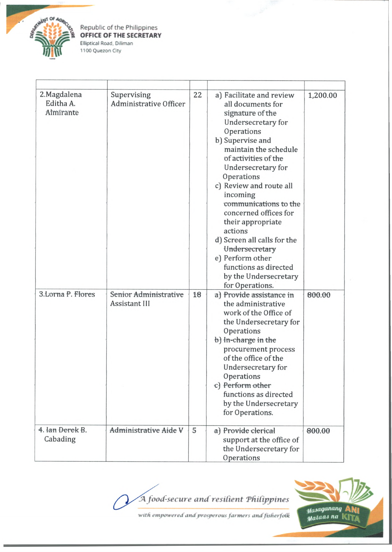

Republic of the Philippines **OFFICE OF THE SECRETARY Elliptical Road. Diliman 1100 Quezon City**

| 2. Magdalena<br>Editha A.<br>Almirante | Supervising<br>Administrative Officer  | 22 | a) Facilitate and review<br>all documents for<br>signature of the<br>Undersecretary for<br>Operations<br>b) Supervise and<br>maintain the schedule<br>of activities of the<br>Undersecretary for<br>Operations<br>c) Review and route all<br>incoming<br>communications to the<br>concerned offices for<br>their appropriate<br>actions<br>d) Screen all calls for the<br>Undersecretary<br>e) Perform other<br>functions as directed<br>by the Undersecretary<br>for Operations. | 1,200.00 |
|----------------------------------------|----------------------------------------|----|-----------------------------------------------------------------------------------------------------------------------------------------------------------------------------------------------------------------------------------------------------------------------------------------------------------------------------------------------------------------------------------------------------------------------------------------------------------------------------------|----------|
| 3.Lorna P. Flores                      | Senior Administrative<br>Assistant III | 18 | a) Provide assistance in<br>the administrative<br>work of the Office of<br>the Undersecretary for<br>Operations<br>b) In-charge in the<br>procurement process<br>of the office of the<br>Undersecretary for<br>Operations<br>c) Perform other<br>functions as directed<br>by the Undersecretary<br>for Operations.                                                                                                                                                                | 800.00   |
| 4. Jan Derek B.<br>Cabading            | Administrative Aide V                  | 5  | a) Provide clerical<br>support at the office of<br>the Undersecretary for<br>Operations                                                                                                                                                                                                                                                                                                                                                                                           | 800.00   |

*JA food-secure and resilient Ttiitippines*



1

with empowered and prosperous farmers and fisherfolk